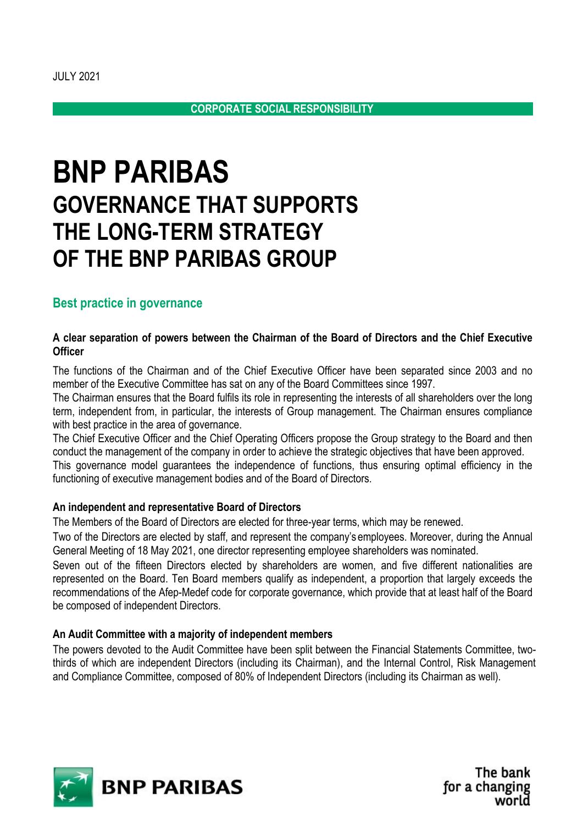# **BNP PARIBAS GOVERNANCE THAT SUPPORTS THE LONG-TERM STRATEGY OF THE BNP PARIBAS GROUP**

## **Best practice in governance**

### **A clear separation of powers between the Chairman of the Board of Directors and the Chief Executive Officer**

The functions of the Chairman and of the Chief Executive Officer have been separated since 2003 and no member of the Executive Committee has sat on any of the Board Committees since 1997.

The Chairman ensures that the Board fulfils its role in representing the interests of all shareholders over the long term, independent from, in particular, the interests of Group management. The Chairman ensures compliance with best practice in the area of governance.

The Chief Executive Officer and the Chief Operating Officers propose the Group strategy to the Board and then conduct the management of the company in order to achieve the strategic objectives that have been approved.

This governance model guarantees the independence of functions, thus ensuring optimal efficiency in the functioning of executive management bodies and of the Board of Directors.

#### **An independent and representative Board of Directors**

The Members of the Board of Directors are elected for three-year terms, which may be renewed.

Two of the Directors are elected by staff, and represent the company's employees. Moreover, during the Annual General Meeting of 18 May 2021, one director representing employee shareholders was nominated.

Seven out of the fifteen Directors elected by shareholders are women, and five different nationalities are represented on the Board. Ten Board members qualify as independent, a proportion that largely exceeds the recommendations of the Afep-Medef code for corporate governance, which provide that at least half of the Board be composed of independent Directors.

### **An Audit Committee with a majority of independent members**

The powers devoted to the Audit Committee have been split between the Financial Statements Committee, twothirds of which are independent Directors (including its Chairman), and the Internal Control, Risk Management and Compliance Committee, composed of 80% of Independent Directors (including its Chairman as well).



The bank for a changing